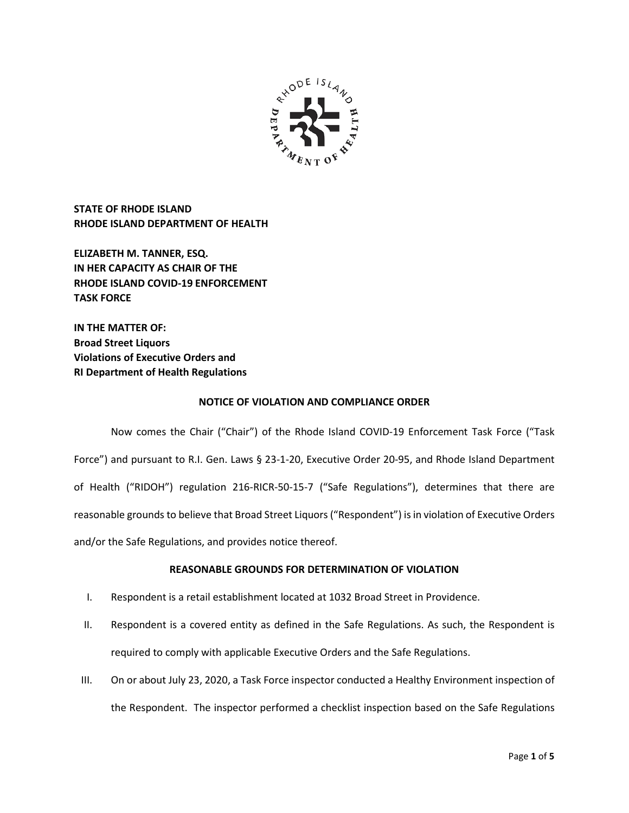

**STATE OF RHODE ISLAND RHODE ISLAND DEPARTMENT OF HEALTH**

**ELIZABETH M. TANNER, ESQ. IN HER CAPACITY AS CHAIR OF THE RHODE ISLAND COVID-19 ENFORCEMENT TASK FORCE** 

**IN THE MATTER OF: Broad Street Liquors Violations of Executive Orders and RI Department of Health Regulations**

## **NOTICE OF VIOLATION AND COMPLIANCE ORDER**

Now comes the Chair ("Chair") of the Rhode Island COVID-19 Enforcement Task Force ("Task Force") and pursuant to R.I. Gen. Laws § 23-1-20, Executive Order 20-95, and Rhode Island Department of Health ("RIDOH") regulation 216-RICR-50-15-7 ("Safe Regulations"), determines that there are reasonable grounds to believe that Broad Street Liquors("Respondent") is in violation of Executive Orders and/or the Safe Regulations, and provides notice thereof.

### **REASONABLE GROUNDS FOR DETERMINATION OF VIOLATION**

- I. Respondent is a retail establishment located at 1032 Broad Street in Providence.
- II. Respondent is a covered entity as defined in the Safe Regulations. As such, the Respondent is required to comply with applicable Executive Orders and the Safe Regulations.
- III. On or about July 23, 2020, a Task Force inspector conducted a Healthy Environment inspection of the Respondent. The inspector performed a checklist inspection based on the Safe Regulations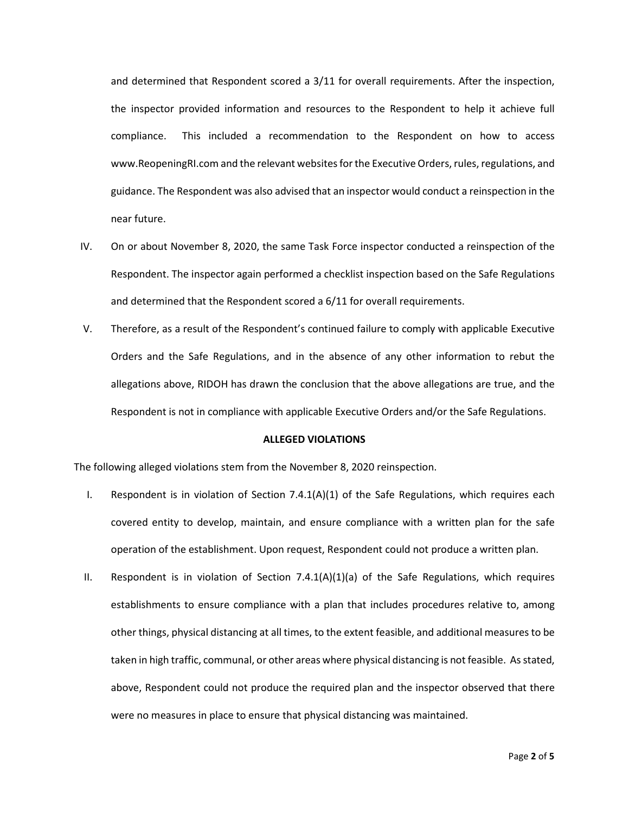and determined that Respondent scored a 3/11 for overall requirements. After the inspection, the inspector provided information and resources to the Respondent to help it achieve full compliance. This included a recommendation to the Respondent on how to access www.ReopeningRI.com and the relevant websites for the Executive Orders, rules, regulations, and guidance. The Respondent was also advised that an inspector would conduct a reinspection in the near future.

- IV. On or about November 8, 2020, the same Task Force inspector conducted a reinspection of the Respondent. The inspector again performed a checklist inspection based on the Safe Regulations and determined that the Respondent scored a 6/11 for overall requirements.
- V. Therefore, as a result of the Respondent's continued failure to comply with applicable Executive Orders and the Safe Regulations, and in the absence of any other information to rebut the allegations above, RIDOH has drawn the conclusion that the above allegations are true, and the Respondent is not in compliance with applicable Executive Orders and/or the Safe Regulations.

### **ALLEGED VIOLATIONS**

The following alleged violations stem from the November 8, 2020 reinspection.

- I. Respondent is in violation of Section 7.4.1(A)(1) of the Safe Regulations, which requires each covered entity to develop, maintain, and ensure compliance with a written plan for the safe operation of the establishment. Upon request, Respondent could not produce a written plan.
- II. Respondent is in violation of Section 7.4.1(A)(1)(a) of the Safe Regulations, which requires establishments to ensure compliance with a plan that includes procedures relative to, among other things, physical distancing at all times, to the extent feasible, and additional measures to be taken in high traffic, communal, or other areas where physical distancing is not feasible. As stated, above, Respondent could not produce the required plan and the inspector observed that there were no measures in place to ensure that physical distancing was maintained.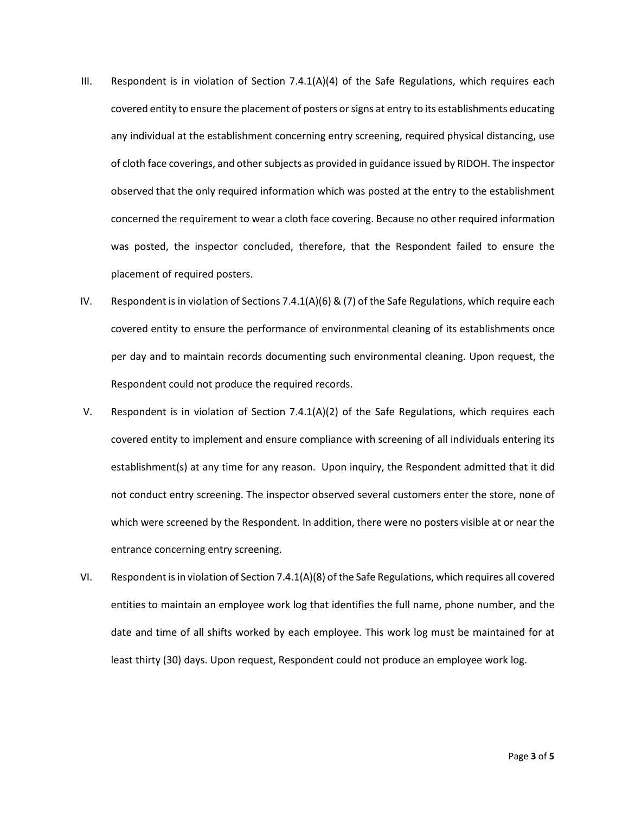- III. Respondent is in violation of Section  $7.4.1(A)(4)$  of the Safe Regulations, which requires each covered entity to ensure the placement of posters or signs at entry to its establishments educating any individual at the establishment concerning entry screening, required physical distancing, use of cloth face coverings, and other subjects as provided in guidance issued by RIDOH. The inspector observed that the only required information which was posted at the entry to the establishment concerned the requirement to wear a cloth face covering. Because no other required information was posted, the inspector concluded, therefore, that the Respondent failed to ensure the placement of required posters.
- IV. Respondent is in violation of Sections 7.4.1(A)(6) & (7) of the Safe Regulations, which require each covered entity to ensure the performance of environmental cleaning of its establishments once per day and to maintain records documenting such environmental cleaning. Upon request, the Respondent could not produce the required records.
- V. Respondent is in violation of Section 7.4.1(A)(2) of the Safe Regulations, which requires each covered entity to implement and ensure compliance with screening of all individuals entering its establishment(s) at any time for any reason. Upon inquiry, the Respondent admitted that it did not conduct entry screening. The inspector observed several customers enter the store, none of which were screened by the Respondent. In addition, there were no posters visible at or near the entrance concerning entry screening.
- VI. Respondent is in violation of Section 7.4.1(A)(8) of the Safe Regulations, which requires all covered entities to maintain an employee work log that identifies the full name, phone number, and the date and time of all shifts worked by each employee. This work log must be maintained for at least thirty (30) days. Upon request, Respondent could not produce an employee work log.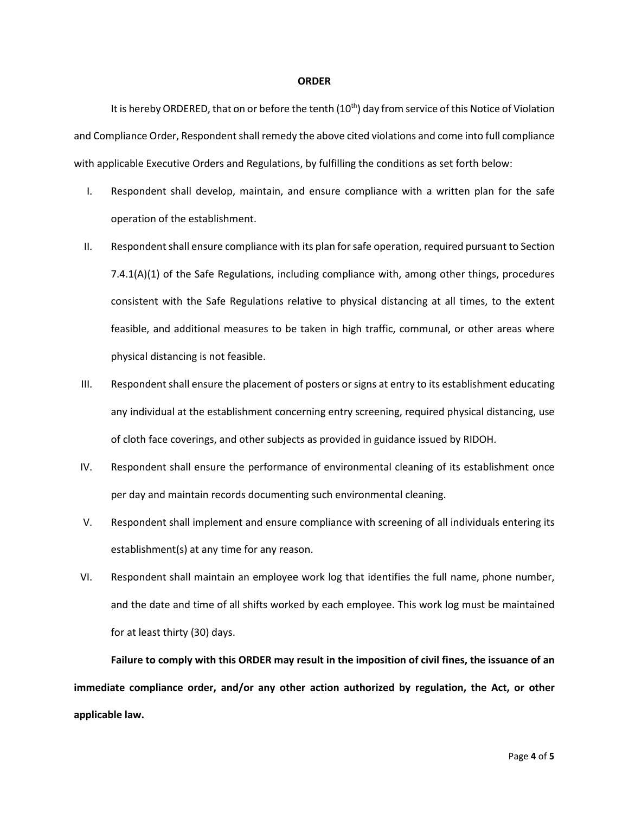#### **ORDER**

It is hereby ORDERED, that on or before the tenth (10<sup>th</sup>) day from service of this Notice of Violation and Compliance Order, Respondent shall remedy the above cited violations and come into full compliance with applicable Executive Orders and Regulations, by fulfilling the conditions as set forth below:

- I. Respondent shall develop, maintain, and ensure compliance with a written plan for the safe operation of the establishment.
- II. Respondent shall ensure compliance with its plan for safe operation, required pursuant to Section 7.4.1(A)(1) of the Safe Regulations, including compliance with, among other things, procedures consistent with the Safe Regulations relative to physical distancing at all times, to the extent feasible, and additional measures to be taken in high traffic, communal, or other areas where physical distancing is not feasible.
- III. Respondent shall ensure the placement of posters or signs at entry to its establishment educating any individual at the establishment concerning entry screening, required physical distancing, use of cloth face coverings, and other subjects as provided in guidance issued by RIDOH.
- IV. Respondent shall ensure the performance of environmental cleaning of its establishment once per day and maintain records documenting such environmental cleaning.
- V. Respondent shall implement and ensure compliance with screening of all individuals entering its establishment(s) at any time for any reason.
- VI. Respondent shall maintain an employee work log that identifies the full name, phone number, and the date and time of all shifts worked by each employee. This work log must be maintained for at least thirty (30) days.

**Failure to comply with this ORDER may result in the imposition of civil fines, the issuance of an immediate compliance order, and/or any other action authorized by regulation, the Act, or other applicable law.**